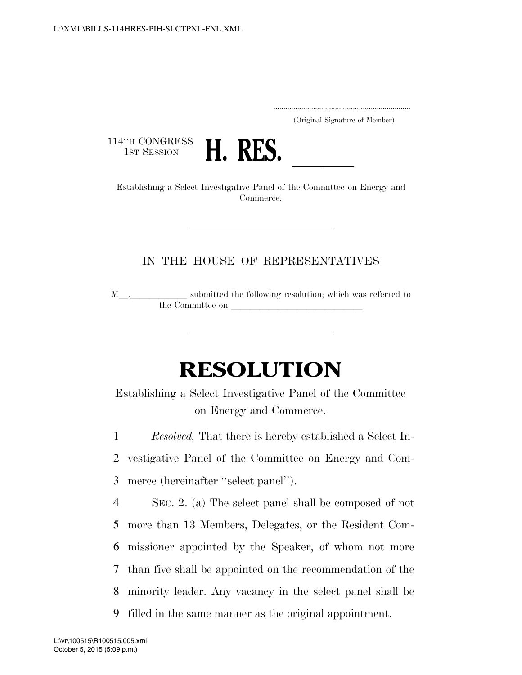..................................................................... (Original Signature of Member)

114TH CONGRESS<br>1st Session



1st SESSION **H. RES.** <u>Investigative Panel of the Committee on Energy and</u> Commerce.

## IN THE HOUSE OF REPRESENTATIVES

 $\texttt{M}$  .  $\_\_\_\_\_\_\_\_\_\$  submitted the following resolution; which was referred to the Committee on

## **RESOLUTION**

Establishing a Select Investigative Panel of the Committee on Energy and Commerce.

1 *Resolved,* That there is hereby established a Select In-

2 vestigative Panel of the Committee on Energy and Com-3 merce (hereinafter ''select panel'').

 SEC. 2. (a) The select panel shall be composed of not more than 13 Members, Delegates, or the Resident Com- missioner appointed by the Speaker, of whom not more than five shall be appointed on the recommendation of the minority leader. Any vacancy in the select panel shall be filled in the same manner as the original appointment.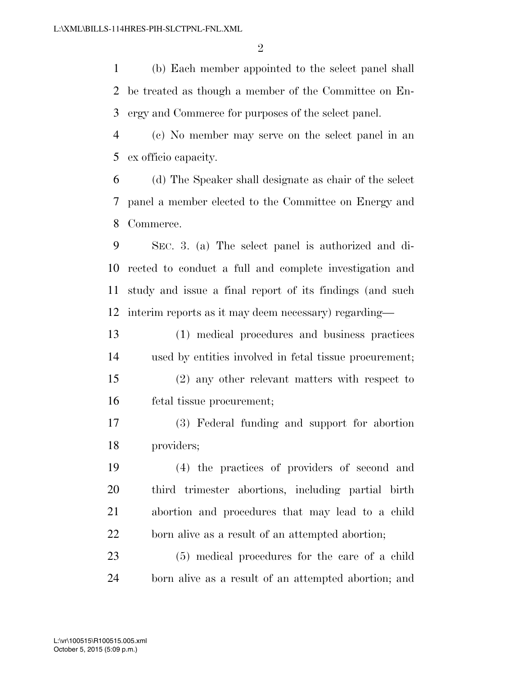(b) Each member appointed to the select panel shall be treated as though a member of the Committee on En-ergy and Commerce for purposes of the select panel.

 (c) No member may serve on the select panel in an ex officio capacity.

 (d) The Speaker shall designate as chair of the select panel a member elected to the Committee on Energy and Commerce.

 SEC. 3. (a) The select panel is authorized and di- rected to conduct a full and complete investigation and study and issue a final report of its findings (and such interim reports as it may deem necessary) regarding—

 (1) medical procedures and business practices used by entities involved in fetal tissue procurement; (2) any other relevant matters with respect to fetal tissue procurement;

 (3) Federal funding and support for abortion providers;

 (4) the practices of providers of second and third trimester abortions, including partial birth abortion and procedures that may lead to a child born alive as a result of an attempted abortion;

 (5) medical procedures for the care of a child born alive as a result of an attempted abortion; and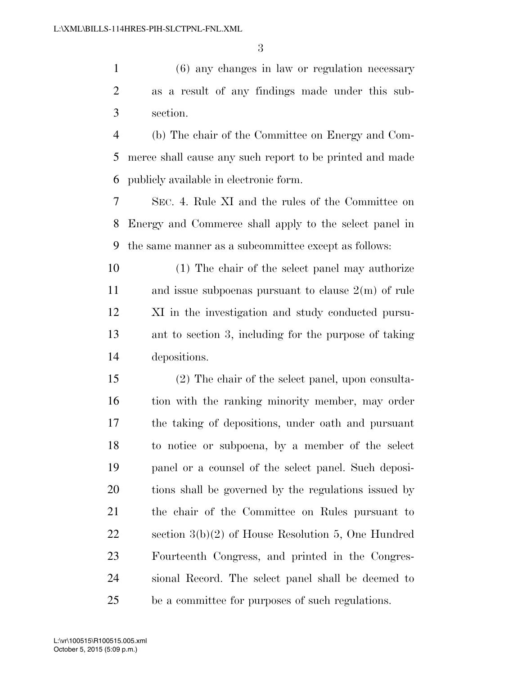(6) any changes in law or regulation necessary as a result of any findings made under this sub-section.

 (b) The chair of the Committee on Energy and Com- merce shall cause any such report to be printed and made publicly available in electronic form.

 SEC. 4. Rule XI and the rules of the Committee on Energy and Commerce shall apply to the select panel in the same manner as a subcommittee except as follows:

 (1) The chair of the select panel may authorize and issue subpoenas pursuant to clause 2(m) of rule XI in the investigation and study conducted pursu- ant to section 3, including for the purpose of taking depositions.

 (2) The chair of the select panel, upon consulta-16 tion with the ranking minority member, may order the taking of depositions, under oath and pursuant to notice or subpoena, by a member of the select panel or a counsel of the select panel. Such deposi- tions shall be governed by the regulations issued by the chair of the Committee on Rules pursuant to section 3(b)(2) of House Resolution 5, One Hundred Fourteenth Congress, and printed in the Congres- sional Record. The select panel shall be deemed to be a committee for purposes of such regulations.